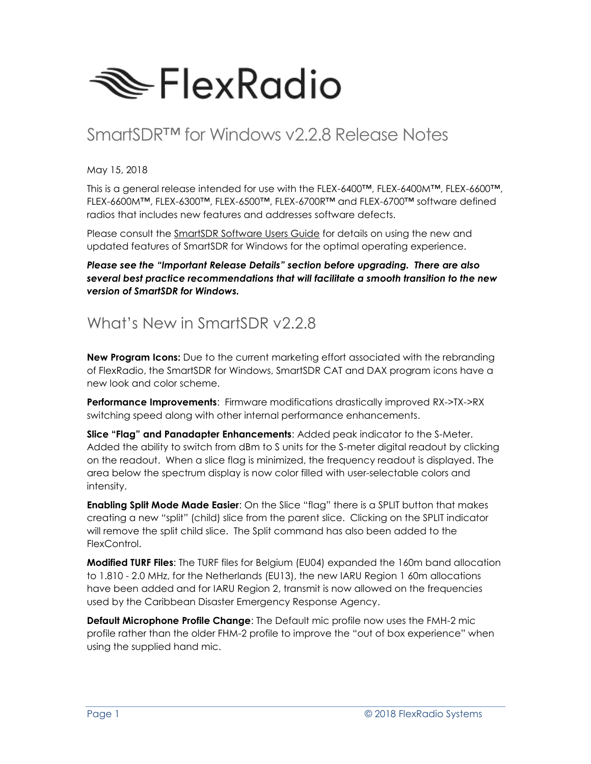

# SmartSDR™ for Windows v2.2.8 Release Notes

May 15, 2018

This is a general release intended for use with the FLEX-6400™, FLEX-6400M™, FLEX-6600™, FLEX-6600M™, FLEX-6300™, FLEX-6500™, FLEX-6700R™ and FLEX-6700™ software defined radios that includes new features and addresses software defects.

Please consult the SmartSDR Software Users Guide for details on using the new and updated features of SmartSDR for Windows for the optimal operating experience.

*Please see the "Important Release Details" section before upgrading. There are also several best practice recommendations that will facilitate a smooth transition to the new version of SmartSDR for Windows.*

## What's New in SmartSDR v2.2.8

**New Program Icons:** Due to the current marketing effort associated with the rebranding of FlexRadio, the SmartSDR for Windows, SmartSDR CAT and DAX program icons have a new look and color scheme.

**Performance Improvements**: Firmware modifications drastically improved RX->TX->RX switching speed along with other internal performance enhancements.

**Slice "Flag" and Panadapter Enhancements**: Added peak indicator to the S-Meter. Added the ability to switch from dBm to S units for the S-meter digital readout by clicking on the readout. When a slice flag is minimized, the frequency readout is displayed. The area below the spectrum display is now color filled with user-selectable colors and intensity.

**Enabling Split Mode Made Easier**: On the Slice "flag" there is a SPLIT button that makes creating a new "split" (child) slice from the parent slice. Clicking on the SPLIT indicator will remove the split child slice. The Split command has also been added to the FlexControl.

**Modified TURF Files**: The TURF files for Belgium (EU04) expanded the 160m band allocation to 1.810 - 2.0 MHz, for the Netherlands (EU13), the new IARU Region 1 60m allocations have been added and for IARU Region 2, transmit is now allowed on the frequencies used by the Caribbean Disaster Emergency Response Agency.

**Default Microphone Profile Change**: The Default mic profile now uses the FMH-2 mic profile rather than the older FHM-2 profile to improve the "out of box experience" when using the supplied hand mic.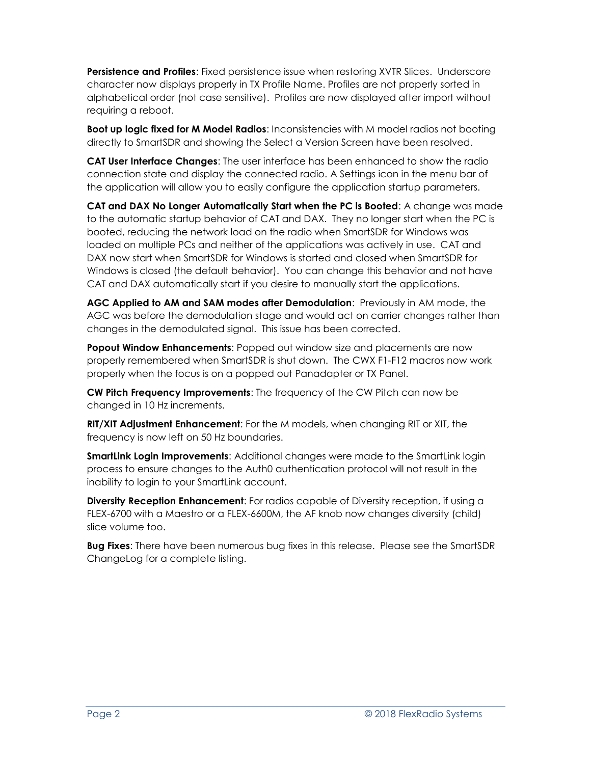**Persistence and Profiles**: Fixed persistence issue when restoring XVTR Slices. Underscore character now displays properly in TX Profile Name. Profiles are not properly sorted in alphabetical order (not case sensitive). Profiles are now displayed after import without requiring a reboot.

**Boot up logic fixed for M Model Radios**: Inconsistencies with M model radios not booting directly to SmartSDR and showing the Select a Version Screen have been resolved.

**CAT User Interface Changes**: The user interface has been enhanced to show the radio connection state and display the connected radio. A Settings icon in the menu bar of the application will allow you to easily configure the application startup parameters.

**CAT and DAX No Longer Automatically Start when the PC is Booted**: A change was made to the automatic startup behavior of CAT and DAX. They no longer start when the PC is booted, reducing the network load on the radio when SmartSDR for Windows was loaded on multiple PCs and neither of the applications was actively in use. CAT and DAX now start when SmartSDR for Windows is started and closed when SmartSDR for Windows is closed (the default behavior). You can change this behavior and not have CAT and DAX automatically start if you desire to manually start the applications.

**AGC Applied to AM and SAM modes after Demodulation**: Previously in AM mode, the AGC was before the demodulation stage and would act on carrier changes rather than changes in the demodulated signal. This issue has been corrected.

**Popout Window Enhancements**: Popped out window size and placements are now properly remembered when SmartSDR is shut down. The CWX F1-F12 macros now work properly when the focus is on a popped out Panadapter or TX Panel.

**CW Pitch Frequency Improvements**: The frequency of the CW Pitch can now be changed in 10 Hz increments.

**RIT/XIT Adjustment Enhancement**: For the M models, when changing RIT or XIT, the frequency is now left on 50 Hz boundaries.

**SmartLink Login Improvements**: Additional changes were made to the SmartLink login process to ensure changes to the Auth0 authentication protocol will not result in the inability to login to your SmartLink account.

**Diversity Reception Enhancement**: For radios capable of Diversity reception, if using a FLEX-6700 with a Maestro or a FLEX-6600M, the AF knob now changes diversity (child) slice volume too.

**Bug Fixes**: There have been numerous bug fixes in this release. Please see the SmartSDR ChangeLog for a complete listing.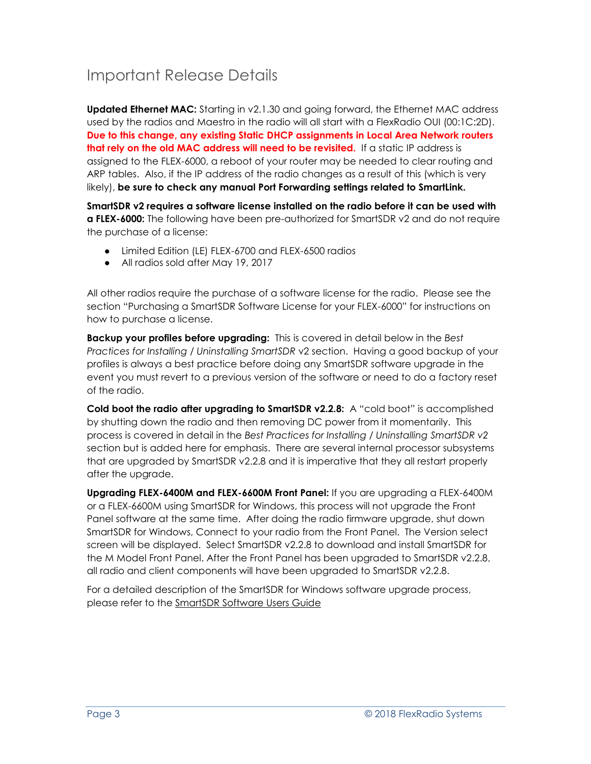## Important Release Details

**Updated Ethernet MAC:** Starting in v2.1.30 and going forward, the Ethernet MAC address used by the radios and Maestro in the radio will all start with a FlexRadio OUI (00:1C:2D). **Due to this change, any existing Static DHCP assignments in Local Area Network routers that rely on the old MAC address will need to be revisited.** If a static IP address is assigned to the FLEX-6000, a reboot of your router may be needed to clear routing and ARP tables. Also, if the IP address of the radio changes as a result of this (which is very likely), **be sure to check any manual Port Forwarding settings related to SmartLink.**

**SmartSDR v2 requires a software license installed on the radio before it can be used with a FLEX-6000:** The following have been pre-authorized for SmartSDR v2 and do not require the purchase of a license:

- Limited Edition (LE) FLEX-6700 and FLEX-6500 radios
- All radios sold after May 19, 2017

All other radios require the purchase of a software license for the radio. Please see the section "Purchasing a SmartSDR Software License for your FLEX-6000" for instructions on how to purchase a license.

**Backup your profiles before upgrading:** This is covered in detail below in the *Best Practices for Installing / Uninstalling SmartSDR* v2 section. Having a good backup of your profiles is always a best practice before doing any SmartSDR software upgrade in the event you must revert to a previous version of the software or need to do a factory reset of the radio.

**Cold boot the radio after upgrading to SmartSDR v2.2.8:** A "cold boot" is accomplished by shutting down the radio and then removing DC power from it momentarily. This process is covered in detail in the *Best Practices for Installing / Uninstalling SmartSDR v2* section but is added here for emphasis. There are several internal processor subsystems that are upgraded by SmartSDR v2.2.8 and it is imperative that they all restart properly after the upgrade.

**Upgrading FLEX-6400M and FLEX-6600M Front Panel:** If you are upgrading a FLEX-6400M or a FLEX-6600M using SmartSDR for Windows, this process will not upgrade the Front Panel software at the same time. After doing the radio firmware upgrade, shut down SmartSDR for Windows, Connect to your radio from the Front Panel. The Version select screen will be displayed. Select SmartSDR v2.2.8 to download and install SmartSDR for the M Model Front Panel. After the Front Panel has been upgraded to SmartSDR v2.2.8, all radio and client components will have been upgraded to SmartSDR v2.2.8.

For a detailed description of the SmartSDR for Windows software upgrade process, please refer to the SmartSDR Software Users Guide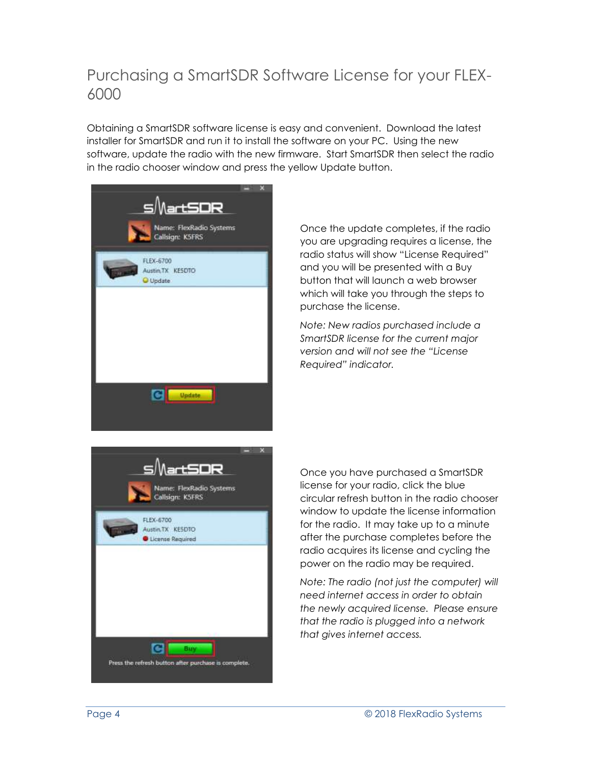## Purchasing a SmartSDR Software License for your FLEX-6000

Obtaining a SmartSDR software license is easy and convenient. Download the latest installer for SmartSDR and run it to install the software on your PC. Using the new software, update the radio with the new firmware. Start SmartSDR then select the radio in the radio chooser window and press the yellow Update button.



Once the update completes, if the radio you are upgrading requires a license, the radio status will show "License Required" and you will be presented with a Buy button that will launch a web browser which will take you through the steps to purchase the license.

*Note: New radios purchased include a SmartSDR license for the current major version and will not see the "License Required" indicator.*



Once you have purchased a SmartSDR license for your radio, click the blue circular refresh button in the radio chooser window to update the license information for the radio. It may take up to a minute after the purchase completes before the radio acquires its license and cycling the power on the radio may be required.

*Note: The radio (not just the computer) will need internet access in order to obtain the newly acquired license. Please ensure that the radio is plugged into a network that gives internet access.*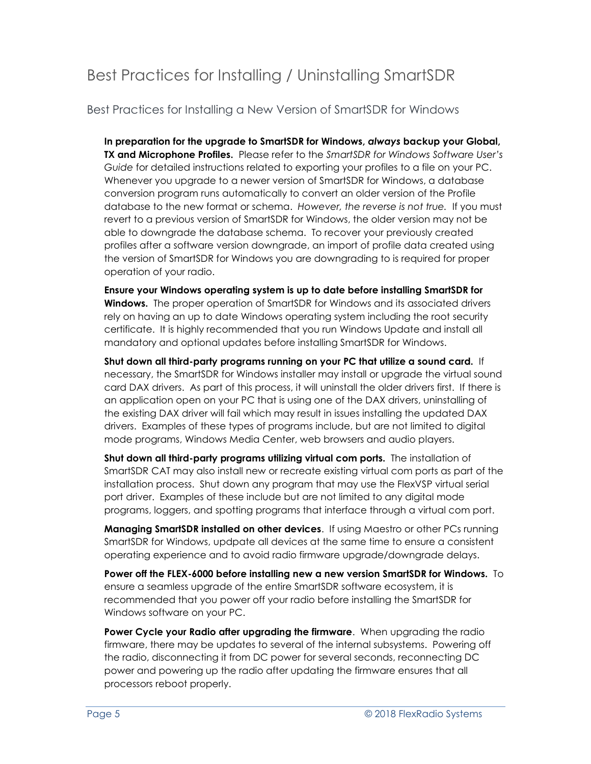## Best Practices for Installing / Uninstalling SmartSDR

Best Practices for Installing a New Version of SmartSDR for Windows

**In preparation for the upgrade to SmartSDR for Windows,** *always* **backup your Global, TX and Microphone Profiles.** Please refer to the *SmartSDR for Windows Software User's Guide* for detailed instructions related to exporting your profiles to a file on your PC. Whenever you upgrade to a newer version of SmartSDR for Windows, a database conversion program runs automatically to convert an older version of the Profile database to the new format or schema. *However, the reverse is not true.* If you must revert to a previous version of SmartSDR for Windows, the older version may not be able to downgrade the database schema. To recover your previously created profiles after a software version downgrade, an import of profile data created using the version of SmartSDR for Windows you are downgrading to is required for proper operation of your radio.

**Ensure your Windows operating system is up to date before installing SmartSDR for Windows.** The proper operation of SmartSDR for Windows and its associated drivers rely on having an up to date Windows operating system including the root security certificate. It is highly recommended that you run Windows Update and install all mandatory and optional updates before installing SmartSDR for Windows.

**Shut down all third-party programs running on your PC that utilize a sound card.** If necessary, the SmartSDR for Windows installer may install or upgrade the virtual sound card DAX drivers. As part of this process, it will uninstall the older drivers first. If there is an application open on your PC that is using one of the DAX drivers, uninstalling of the existing DAX driver will fail which may result in issues installing the updated DAX drivers. Examples of these types of programs include, but are not limited to digital mode programs, Windows Media Center, web browsers and audio players.

**Shut down all third-party programs utilizing virtual com ports.** The installation of SmartSDR CAT may also install new or recreate existing virtual com ports as part of the installation process. Shut down any program that may use the FlexVSP virtual serial port driver. Examples of these include but are not limited to any digital mode programs, loggers, and spotting programs that interface through a virtual com port.

**Managing SmartSDR installed on other devices**. If using Maestro or other PCs running SmartSDR for Windows, updpate all devices at the same time to ensure a consistent operating experience and to avoid radio firmware upgrade/downgrade delays.

**Power off the FLEX-6000 before installing new a new version SmartSDR for Windows.** To ensure a seamless upgrade of the entire SmartSDR software ecosystem, it is recommended that you power off your radio before installing the SmartSDR for Windows software on your PC.

**Power Cycle your Radio after upgrading the firmware**. When upgrading the radio firmware, there may be updates to several of the internal subsystems. Powering off the radio, disconnecting it from DC power for several seconds, reconnecting DC power and powering up the radio after updating the firmware ensures that all processors reboot properly.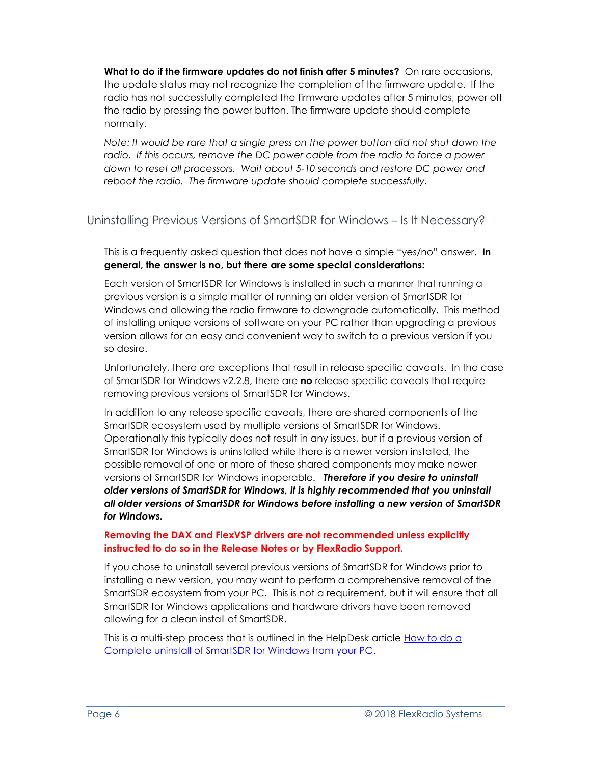**What to do if the firmware updates do not finish after 5 minutes?** On rare occasions, the update status may not recognize the completion of the firmware update. If the radio has not successfully completed the firmware updates after 5 minutes, power off the radio by pressing the power button. The firmware update should complete normally.

*Note: It would be rare that a single press on the power button did not shut down the radio. If this occurs, remove the DC power cable from the radio to force a power down to reset all processors. Wait about 5-10 seconds and restore DC power and reboot the radio. The firmware update should complete successfully.*

#### Uninstalling Previous Versions of SmartSDR for Windows – Is It Necessary?

This is a frequently asked question that does not have a simple "yes/no" answer. **In general, the answer is no, but there are some special considerations:**

Each version of SmartSDR for Windows is installed in such a manner that running a previous version is a simple matter of running an older version of SmartSDR for Windows and allowing the radio firmware to downgrade automatically. This method of installing unique versions of software on your PC rather than upgrading a previous version allows for an easy and convenient way to switch to a previous version if you so desire.

Unfortunately, there are exceptions that result in release specific caveats. In the case of SmartSDR for Windows v2.2.8, there are **no** release specific caveats that require removing previous versions of SmartSDR for Windows.

In addition to any release specific caveats, there are shared components of the SmartSDR ecosystem used by multiple versions of SmartSDR for Windows. Operationally this typically does not result in any issues, but if a previous version of SmartSDR for Windows is uninstalled while there is a newer version installed, the possible removal of one or more of these shared components may make newer versions of SmartSDR for Windows inoperable. *Therefore if you desire to uninstall older versions of SmartSDR for Windows, it is highly recommended that you uninstall all older versions of SmartSDR for Windows before installing a new version of SmartSDR for Windows.* 

#### **Removing the DAX and FlexVSP drivers are not recommended unless explicitly instructed to do so in the Release Notes or by FlexRadio Support.**

If you chose to uninstall several previous versions of SmartSDR for Windows prior to installing a new version, you may want to perform a comprehensive removal of the SmartSDR ecosystem from your PC. This is not a requirement, but it will ensure that all SmartSDR for Windows applications and hardware drivers have been removed allowing for a clean install of SmartSDR.

This is a multi-step process that is outlined in the HelpDesk article [How to do a](https://helpdesk.flexradio.com/hc/en-us/articles/204975589-How-to-do-a-Complete-uninstall-of-SmartSDR-for-Windows-from-your-PC)  [Complete uninstall of SmartSDR for Windows from your PC.](https://helpdesk.flexradio.com/hc/en-us/articles/204975589-How-to-do-a-Complete-uninstall-of-SmartSDR-for-Windows-from-your-PC)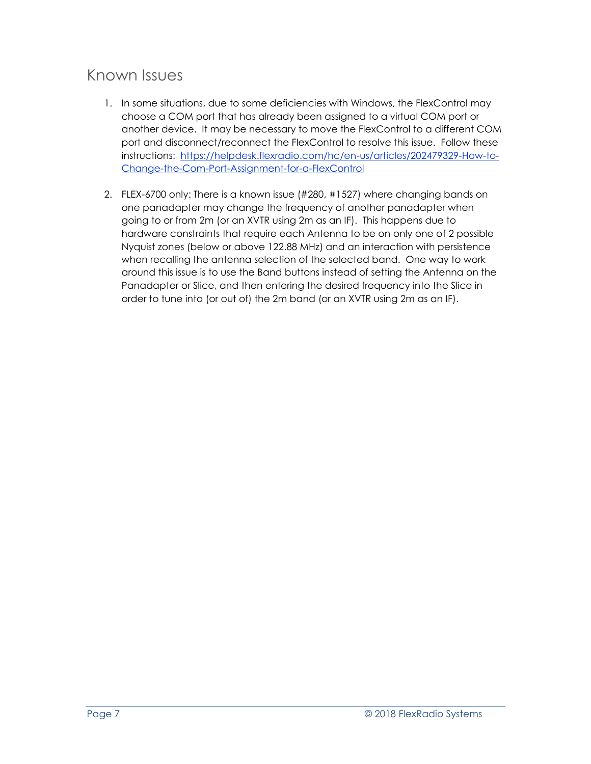## Known Issues

- 1. In some situations, due to some deficiencies with Windows, the FlexControl may choose a COM port that has already been assigned to a virtual COM port or another device. It may be necessary to move the FlexControl to a different COM port and disconnect/reconnect the FlexControl to resolve this issue. Follow these instructions: [https://helpdesk.flexradio.com/hc/en-us/articles/202479329-How-to-](https://helpdesk.flexradio.com/hc/en-us/articles/202479329-How-to-Change-the-Com-Port-Assignment-for-a-FlexControl)[Change-the-Com-Port-Assignment-for-a-FlexControl](https://helpdesk.flexradio.com/hc/en-us/articles/202479329-How-to-Change-the-Com-Port-Assignment-for-a-FlexControl)
- 2. FLEX-6700 only: There is a known issue (#280, #1527) where changing bands on one panadapter may change the frequency of another panadapter when going to or from 2m (or an XVTR using 2m as an IF). This happens due to hardware constraints that require each Antenna to be on only one of 2 possible Nyquist zones (below or above 122.88 MHz) and an interaction with persistence when recalling the antenna selection of the selected band. One way to work around this issue is to use the Band buttons instead of setting the Antenna on the Panadapter or Slice, and then entering the desired frequency into the Slice in order to tune into (or out of) the 2m band (or an XVTR using 2m as an IF).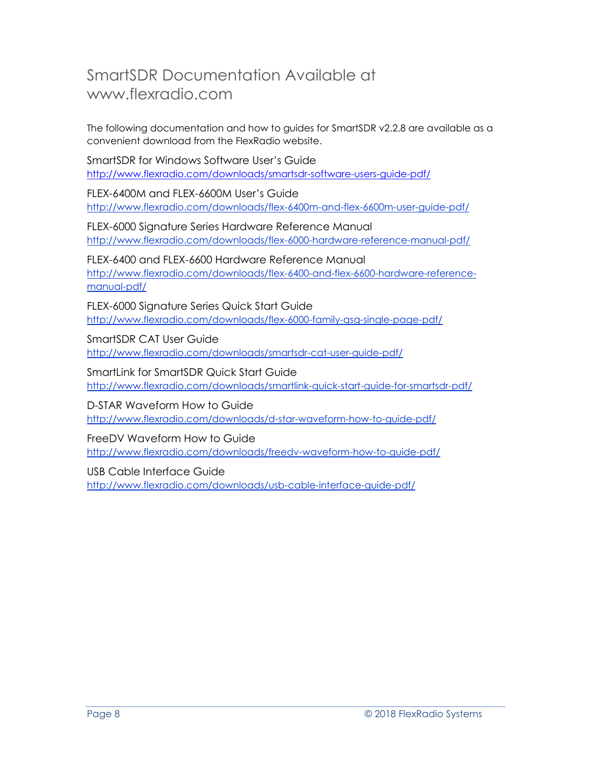### SmartSDR Documentation Available at www.flexradio.com

The following documentation and how to guides for SmartSDR v2.2.8 are available as a convenient download from the FlexRadio website.

SmartSDR for Windows Software User's Guide <http://www.flexradio.com/downloads/smartsdr-software-users-guide-pdf/>

FLEX-6400M and FLEX-6600M User's Guide <http://www.flexradio.com/downloads/flex-6400m-and-flex-6600m-user-guide-pdf/>

FLEX-6000 Signature Series Hardware Reference Manual <http://www.flexradio.com/downloads/flex-6000-hardware-reference-manual-pdf/>

FLEX-6400 and FLEX-6600 Hardware Reference Manual [http://www.flexradio.com/downloads/flex-6400-and-flex-6600-hardware-reference](http://www.flexradio.com/downloads/flex-6400-and-flex-6600-hardware-reference-manual-pdf/)[manual-pdf/](http://www.flexradio.com/downloads/flex-6400-and-flex-6600-hardware-reference-manual-pdf/)

FLEX-6000 Signature Series Quick Start Guide <http://www.flexradio.com/downloads/flex-6000-family-qsg-single-page-pdf/>

SmartSDR CAT User Guide <http://www.flexradio.com/downloads/smartsdr-cat-user-guide-pdf/>

SmartLink for SmartSDR Quick Start Guide <http://www.flexradio.com/downloads/smartlink-quick-start-guide-for-smartsdr-pdf/>

D-STAR Waveform How to Guide <http://www.flexradio.com/downloads/d-star-waveform-how-to-guide-pdf/>

FreeDV Waveform How to Guide <http://www.flexradio.com/downloads/freedv-waveform-how-to-guide-pdf/>

USB Cable Interface Guide

<http://www.flexradio.com/downloads/usb-cable-interface-guide-pdf/>